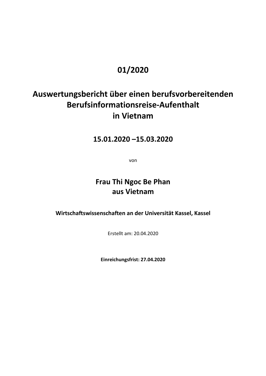## **01/2020**

# **Auswertungsbericht über einen berufsvorbereitenden Berufsinformationsreise-Aufenthalt in Vietnam**

**15.01.2020 –15.03.2020** 

von

**Frau Thi Ngoc Be Phan aus Vietnam** 

**Wirtschaftswissenschaften an der Universität Kassel, Kassel** 

Erstellt am: 20.04.2020

**Einreichungsfrist: 27.04.2020**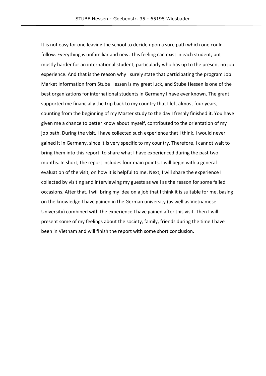It is not easy for one leaving the school to decide upon a sure path which one could follow. Everything is unfamiliar and new. This feeling can exist in each student, but mostly harder for an international student, particularly who has up to the present no job experience. And that is the reason why I surely state that participating the program Job Market Information from Stube Hessen is my great luck, and Stube Hessen is one of the best organizations for international students in Germany I have ever known. The grant supported me financially the trip back to my country that I left almost four years, counting from the beginning of my Master study to the day I freshly finished it. You have given me a chance to better know about myself, contributed to the orientation of my job path. During the visit, I have collected such experience that I think, I would never gained it in Germany, since it is very specific to my country. Therefore, I cannot wait to bring them into this report, to share what I have experienced during the past two months. In short, the report includes four main points. I will begin with a general evaluation of the visit, on how it is helpful to me. Next, I will share the experience I collected by visiting and interviewing my guests as well as the reason for some failed occasions. After that, I will bring my idea on a job that I think it is suitable for me, basing on the knowledge I have gained in the German university (as well as Vietnamese University) combined with the experience I have gained after this visit. Then I will present some of my feelings about the society, family, friends during the time I have been in Vietnam and will finish the report with some short conclusion.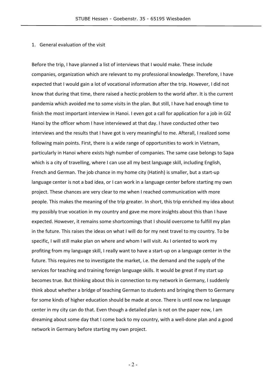#### 1. General evaluation of the visit

Before the trip, I have planned a list of interviews that I would make. These include companies, organization which are relevant to my professional knowledge. Therefore, I have expected that I would gain a lot of vocational information after the trip. However, I did not know that during that time, there raised a hectic problem to the world after. It is the current pandemia which avoided me to some visits in the plan. But still, I have had enough time to finish the most important interview in Hanoi. I even got a call for application for a job in GIZ Hanoi by the officer whom I have interviewed at that day. I have conducted other two interviews and the results that I have got is very meaningful to me. Afterall, I realized some following main points. First, there is a wide range of opportunities to work in Vietnam, particularly in Hanoi where exists high number of companies. The same case belongs to Sapa which is a city of travelling, where I can use all my best language skill, including English, French and German. The job chance in my home city (Hatinh) is smaller, but a start-up language center is not a bad idea, or I can work in a language center before starting my own project. These chances are very clear to me when I reached communication with more people. This makes the meaning of the trip greater. In short, this trip enriched my idea about my possibly true vocation in my country and gave me more insights about this than I have expected. However, it remains some shortcomings that I should overcome to fulfill my plan in the future. This raises the ideas on what I will do for my next travel to my country. To be specific, I will still make plan on where and whom I will visit. As I oriented to work my profiting from my language skill, I really want to have a start-up on a language center in the future. This requires me to investigate the market, i.e. the demand and the supply of the services for teaching and training foreign language skills. It would be great if my start up becomes true. But thinking about this in connection to my network in Germany, I suddenly think about whether a bridge of teaching German to students and bringing them to Germany for some kinds of higher education should be made at once. There is until now no language center in my city can do that. Even though a detailed plan is not on the paper now, I am dreaming about some day that I come back to my country, with a well-done plan and a good network in Germany before starting my own project.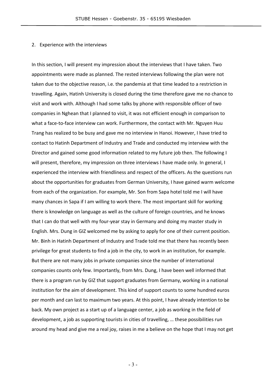#### 2. Experience with the interviews

In this section, I will present my impression about the interviews that I have taken. Two appointments were made as planned. The rested interviews following the plan were not taken due to the objective reason, i.e. the pandemia at that time leaded to a restriction in travelling. Again, Hatinh University is closed during the time therefore gave me no chance to visit and work with. Although I had some talks by phone with responsible officer of two companies in Nghean that I planned to visit, it was not efficient enough in comparison to what a face-to-face interview can work. Furthermore, the contact with Mr. Nguyen Huu Trang has realized to be busy and gave me no interview in Hanoi. However, I have tried to contact to Hatinh Department of Industry and Trade and conducted my interview with the Director and gained some good information related to my future job then. The following I will present, therefore, my impression on three interviews I have made only. In general, I experienced the interview with friendliness and respect of the officers. As the questions run about the opportunities for graduates from German University, I have gained warm welcome from each of the organization. For example, Mr. Son from Sapa hotel told me I will have many chances in Sapa if I am willing to work there. The most important skill for working there is knowledge on language as well as the culture of foreign countries, and he knows that I can do that well with my four-year stay in Germany and doing my master study in English. Mrs. Dung in GIZ welcomed me by asking to apply for one of their current position. Mr. Binh in Hatinh Department of Industry and Trade told me that there has recently been privilege for great students to find a job in the city, to work in an institution, for example. But there are not many jobs in private companies since the number of international companies counts only few. Importantly, from Mrs. Dung, I have been well informed that there is a program run by GIZ that support graduates from Germany, working in a national institution for the aim of development. This kind of support counts to some hundred euros per month and can last to maximum two years. At this point, I have already intention to be back. My own project as a start up of a language center, a job as working in the field of development, a job as supporting tourists in cities of travelling, … these possibilities run around my head and give me a real joy, raises in me a believe on the hope that I may not get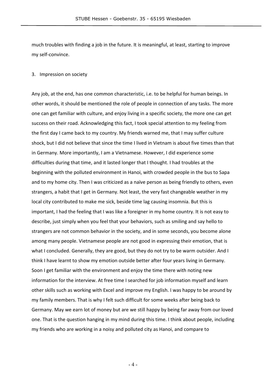much troubles with finding a job in the future. It is meaningful, at least, starting to improve my self-convince.

#### 3. Impression on society

Any job, at the end, has one common characteristic, i.e. to be helpful for human beings. In other words, it should be mentioned the role of people in connection of any tasks. The more one can get familiar with culture, and enjoy living in a specific society, the more one can get success on their road. Acknowledging this fact, I took special attention to my feeling from the first day I came back to my country. My friends warned me, that I may suffer culture shock, but I did not believe that since the time I lived in Vietnam is about five times than that in Germany. More importantly, I am a Vietnamese. However, I did experience some difficulties during that time, and it lasted longer that I thought. I had troubles at the beginning with the polluted environment in Hanoi, with crowded people in the bus to Sapa and to my home city. Then I was criticized as a naïve person as being friendly to others, even strangers, a habit that I get in Germany. Not least, the very fast changeable weather in my local city contributed to make me sick, beside time lag causing insomnia. But this is important, I had the feeling that I was like a foreigner in my home country. It is not easy to describe, just simply when you feel that your behaviors, such as smiling and say hello to strangers are not common behavior in the society, and in some seconds, you become alone among many people. Vietnamese people are not good in expressing their emotion, that is what I concluded. Generally, they are good, but they do not try to be warm outsider. And I think I have learnt to show my emotion outside better after four years living in Germany. Soon I get familiar with the environment and enjoy the time there with noting new information for the interview. At free time I searched for job information myself and learn other skills such as working with Excel and improve my English. I was happy to be around by my family members. That is why I felt such difficult for some weeks after being back to Germany. May we earn lot of money but are we still happy by being far away from our loved one. That is the question hanging in my mind during this time. I think about people, including my friends who are working in a noisy and polluted city as Hanoi, and compare to